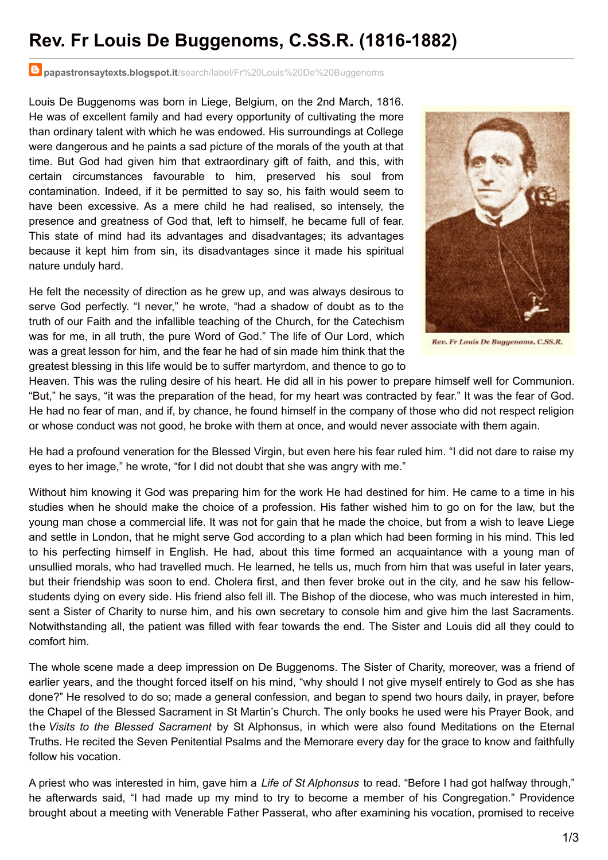## **Rev. Fr Louis De Buggenoms, C.SS.R. (1816-1882)**

**papastronsaytexts.blogspot.it**[/search/label/Fr%20Louis%20De%20Buggenoms](http://papastronsaytexts.blogspot.it/search/label/Fr Louis De Buggenoms)

Louis De Buggenoms was born in Liege, Belgium, on the 2nd March, 1816. He was of excellent family and had every opportunity of cultivating the more than ordinary talent with which he was endowed. His surroundings at College were dangerous and he paints a sad picture of the morals of the youth at that time. But God had given him that extraordinary gift of faith, and this, with certain circumstances favourable to him, preserved his soul from contamination. Indeed, if it be permitted to say so, his faith would seem to have been excessive. As a mere child he had realised, so intensely, the presence and greatness of God that, left to himself, he became full of fear. This state of mind had its advantages and disadvantages; its advantages because it kept him from sin, its disadvantages since it made his spiritual nature unduly hard.

He felt the necessity of direction as he grew up, and was always desirous to serve God perfectly. "I never," he wrote, "had a shadow of doubt as to the truth of our Faith and the infallible teaching of the Church, for the Catechism was for me, in all truth, the pure Word of God." The life of Our Lord, which was a great lesson for him, and the fear he had of sin made him think that the greatest blessing in this life would be to suffer martyrdom, and thence to go to



Rev. Fr Louis De Buggenoms, C.SS.R.

Heaven. This was the ruling desire of his heart. He did all in his power to prepare himself well for Communion. "But," he says, "it was the preparation of the head, for my heart was contracted by fear." It was the fear of God. He had no fear of man, and if, by chance, he found himself in the company of those who did not respect religion or whose conduct was not good, he broke with them at once, and would never associate with them again.

He had a profound veneration for the Blessed Virgin, but even here his fear ruled him. "I did not dare to raise my eyes to her image," he wrote, "for I did not doubt that she was angry with me."

Without him knowing it God was preparing him for the work He had destined for him. He came to a time in his studies when he should make the choice of a profession. His father wished him to go on for the law, but the young man chose a commercial life. It was not for gain that he made the choice, but from a wish to leave Liege and settle in London, that he might serve God according to a plan which had been forming in his mind. This led to his perfecting himself in English. He had, about this time formed an acquaintance with a young man of unsullied morals, who had travelled much. He learned, he tells us, much from him that was useful in later years, but their friendship was soon to end. Cholera first, and then fever broke out in the city, and he saw his fellowstudents dying on every side. His friend also fell ill. The Bishop of the diocese, who was much interested in him, sent a Sister of Charity to nurse him, and his own secretary to console him and give him the last Sacraments. Notwithstanding all, the patient was filled with fear towards the end. The Sister and Louis did all they could to comfort him.

The whole scene made a deep impression on De Buggenoms. The Sister of Charity, moreover, was a friend of earlier years, and the thought forced itself on his mind, "why should I not give myself entirely to God as she has done?" He resolved to do so; made a general confession, and began to spend two hours daily, in prayer, before the Chapel of the Blessed Sacrament in St Martin's Church. The only books he used were his Prayer Book, and the *Visits to the Blessed Sacrament* by St Alphonsus, in which were also found Meditations on the Eternal Truths. He recited the Seven Penitential Psalms and the Memorare every day for the grace to know and faithfully follow his vocation.

A priest who was interested in him, gave him a *Life of St Alphonsus* to read. "Before I had got halfway through," he afterwards said, "I had made up my mind to try to become a member of his Congregation." Providence brought about a meeting with Venerable Father Passerat, who after examining his vocation, promised to receive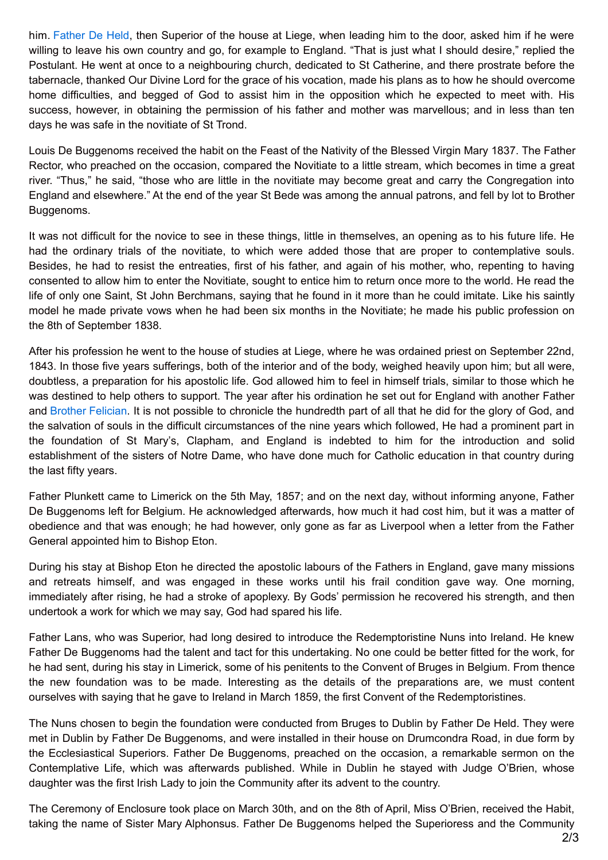him. [Father](http://papastronsaytexts.blogspot.com/search/label/Fr Friedrich Von Held) De Held, then Superior of the house at Liege, when leading him to the door, asked him if he were willing to leave his own country and go, for example to England. "That is just what I should desire," replied the Postulant. He went at once to a neighbouring church, dedicated to St Catherine, and there prostrate before the tabernacle, thanked Our Divine Lord for the grace of his vocation, made his plans as to how he should overcome home difficulties, and begged of God to assist him in the opposition which he expected to meet with. His success, however, in obtaining the permission of his father and mother was marvellous; and in less than ten days he was safe in the novitiate of St Trond.

Louis De Buggenoms received the habit on the Feast of the Nativity of the Blessed Virgin Mary 1837. The Father Rector, who preached on the occasion, compared the Novitiate to a little stream, which becomes in time a great river. "Thus," he said, "those who are little in the novitiate may become great and carry the Congregation into England and elsewhere." At the end of the year St Bede was among the annual patrons, and fell by lot to Brother Buggenoms.

It was not difficult for the novice to see in these things, little in themselves, an opening as to his future life. He had the ordinary trials of the novitiate, to which were added those that are proper to contemplative souls. Besides, he had to resist the entreaties, first of his father, and again of his mother, who, repenting to having consented to allow him to enter the Novitiate, sought to entice him to return once more to the world. He read the life of only one Saint, St John Berchmans, saying that he found in it more than he could imitate. Like his saintly model he made private vows when he had been six months in the Novitiate; he made his public profession on the 8th of September 1838.

After his profession he went to the house of studies at Liege, where he was ordained priest on September 22nd, 1843. In those five years sufferings, both of the interior and of the body, weighed heavily upon him; but all were, doubtless, a preparation for his apostolic life. God allowed him to feel in himself trials, similar to those which he was destined to help others to support. The year after his ordination he set out for England with another Father and Brother [Felician](http://papastronsaytexts.blogspot.com/search/label/Br Felician Dubucquoi). It is not possible to chronicle the hundredth part of all that he did for the glory of God, and the salvation of souls in the difficult circumstances of the nine years which followed, He had a prominent part in the foundation of St Mary's, Clapham, and England is indebted to him for the introduction and solid establishment of the sisters of Notre Dame, who have done much for Catholic education in that country during the last fifty years.

Father Plunkett came to Limerick on the 5th May, 1857; and on the next day, without informing anyone, Father De Buggenoms left for Belgium. He acknowledged afterwards, how much it had cost him, but it was a matter of obedience and that was enough; he had however, only gone as far as Liverpool when a letter from the Father General appointed him to Bishop Eton.

During his stay at Bishop Eton he directed the apostolic labours of the Fathers in England, gave many missions and retreats himself, and was engaged in these works until his frail condition gave way. One morning, immediately after rising, he had a stroke of apoplexy. By Gods' permission he recovered his strength, and then undertook a work for which we may say, God had spared his life.

Father Lans, who was Superior, had long desired to introduce the Redemptoristine Nuns into Ireland. He knew Father De Buggenoms had the talent and tact for this undertaking. No one could be better fitted for the work, for he had sent, during his stay in Limerick, some of his penitents to the Convent of Bruges in Belgium. From thence the new foundation was to be made. Interesting as the details of the preparations are, we must content ourselves with saying that he gave to Ireland in March 1859, the first Convent of the Redemptoristines.

The Nuns chosen to begin the foundation were conducted from Bruges to Dublin by Father De Held. They were met in Dublin by Father De Buggenoms, and were installed in their house on Drumcondra Road, in due form by the Ecclesiastical Superiors. Father De Buggenoms, preached on the occasion, a remarkable sermon on the Contemplative Life, which was afterwards published. While in Dublin he stayed with Judge O'Brien, whose daughter was the first Irish Lady to join the Community after its advent to the country.

The Ceremony of Enclosure took place on March 30th, and on the 8th of April, Miss O'Brien, received the Habit, taking the name of Sister Mary Alphonsus. Father De Buggenoms helped the Superioress and the Community